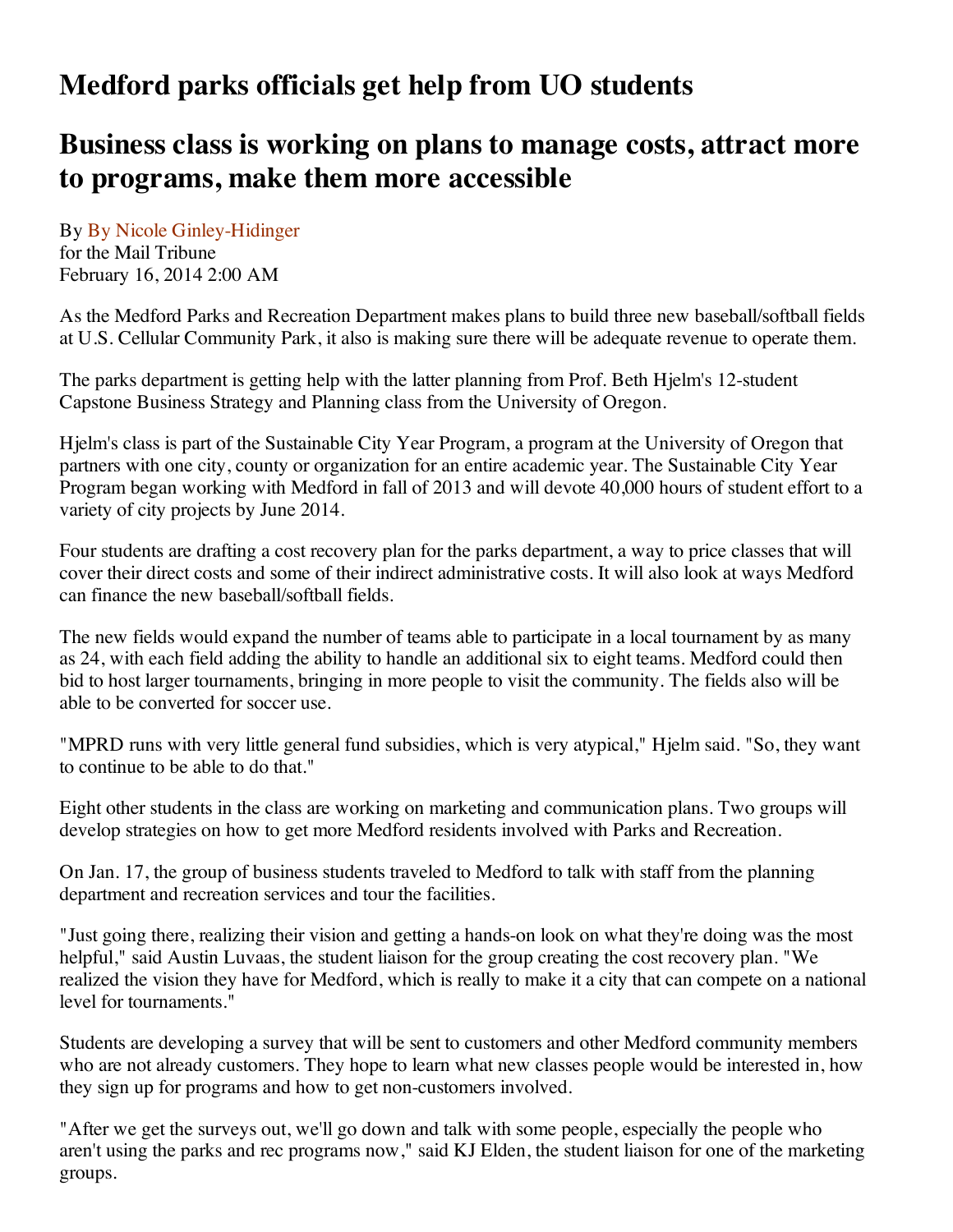## **Medford parks officials get help from UO students**

## **Business class is working on plans to manage costs, attract more to programs, make them more accessible**

By By Nicole Ginley-Hidinger for the Mail Tribune February 16, 2014 2:00 AM

As the Medford Parks and Recreation Department makes plans to build three new baseball/softball fields at U.S. Cellular Community Park, it also is making sure there will be adequate revenue to operate them.

The parks department is getting help with the latter planning from Prof. Beth Hjelm's 12-student Capstone Business Strategy and Planning class from the University of Oregon.

Hjelm's class is part of the Sustainable City Year Program, a program at the University of Oregon that partners with one city, county or organization for an entire academic year. The Sustainable City Year Program began working with Medford in fall of 2013 and will devote 40,000 hours of student effort to a variety of city projects by June 2014.

Four students are drafting a cost recovery plan for the parks department, a way to price classes that will cover their direct costs and some of their indirect administrative costs. It will also look at ways Medford can finance the new baseball/softball fields.

The new fields would expand the number of teams able to participate in a local tournament by as many as 24, with each field adding the ability to handle an additional six to eight teams. Medford could then bid to host larger tournaments, bringing in more people to visit the community. The fields also will be able to be converted for soccer use.

"MPRD runs with very little general fund subsidies, which is very atypical," Hjelm said. "So, they want to continue to be able to do that."

Eight other students in the class are working on marketing and communication plans. Two groups will develop strategies on how to get more Medford residents involved with Parks and Recreation.

On Jan. 17, the group of business students traveled to Medford to talk with staff from the planning department and recreation services and tour the facilities.

"Just going there, realizing their vision and getting a hands-on look on what they're doing was the most helpful," said Austin Luvaas, the student liaison for the group creating the cost recovery plan. "We realized the vision they have for Medford, which is really to make it a city that can compete on a national level for tournaments."

Students are developing a survey that will be sent to customers and other Medford community members who are not already customers. They hope to learn what new classes people would be interested in, how they sign up for programs and how to get non-customers involved.

"After we get the surveys out, we'll go down and talk with some people, especially the people who aren't using the parks and rec programs now," said KJ Elden, the student liaison for one of the marketing groups.